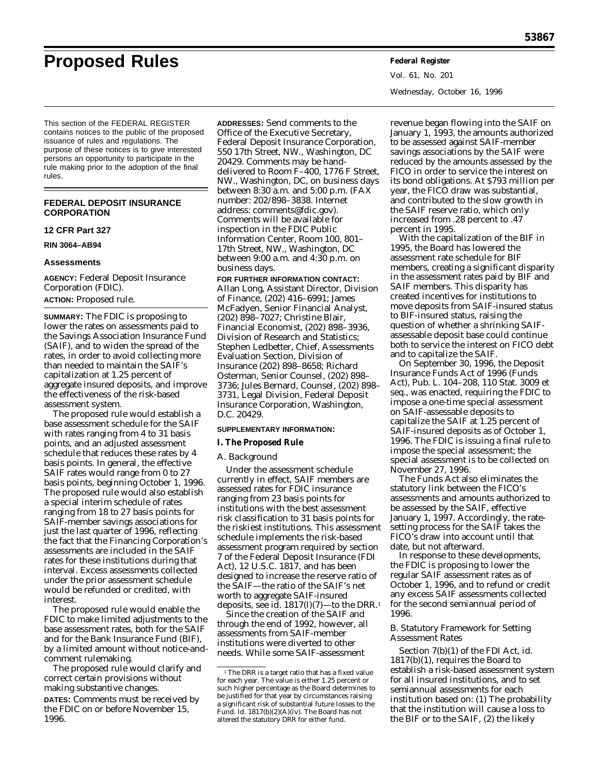**Proposed Rules Federal Register**

Vol. 61, No. 201 Wednesday, October 16, 1996

This section of the FEDERAL REGISTER contains notices to the public of the proposed issuance of rules and regulations. The purpose of these notices is to give interested persons an opportunity to participate in the rule making prior to the adoption of the final rules.

## **FEDERAL DEPOSIT INSURANCE CORPORATION**

## **12 CFR Part 327**

**RIN 3064–AB94**

### **Assessments**

**AGENCY:** Federal Deposit Insurance Corporation (FDIC). **ACTION:** Proposed rule.

**SUMMARY:** The FDIC is proposing to lower the rates on assessments paid to the Savings Association Insurance Fund (SAIF), and to widen the spread of the rates, in order to avoid collecting more than needed to maintain the SAIF's capitalization at 1.25 percent of aggregate insured deposits, and improve the effectiveness of the risk-based assessment system.

The proposed rule would establish a base assessment schedule for the SAIF with rates ranging from 4 to 31 basis points, and an adjusted assessment schedule that reduces these rates by 4 basis points. In general, the effective SAIF rates would range from 0 to 27 basis points, beginning October 1, 1996. The proposed rule would also establish a special interim schedule of rates ranging from 18 to 27 basis points for SAIF-member savings associations for just the last quarter of 1996, reflecting the fact that the Financing Corporation's assessments are included in the SAIF rates for these institutions during that interval. Excess assessments collected under the prior assessment schedule would be refunded or credited, with interest.

The proposed rule would enable the FDIC to make limited adjustments to the base assessment rates, both for the SAIF and for the Bank Insurance Fund (BIF), by a limited amount without notice-andcomment rulemaking.

The proposed rule would clarify and correct certain provisions without making substantive changes.

**DATES:** Comments must be received by the FDIC on or before November 15, 1996.

**ADDRESSES:** Send comments to the Office of the Executive Secretary, Federal Deposit Insurance Corporation, 550 17th Street, NW., Washington, DC 20429. Comments may be handdelivered to Room F–400, 1776 F Street, NW., Washington, DC, on business days between 8:30 a.m. and 5:00 p.m. (FAX number: 202/898–3838. Internet address: comments@fdic.gov). Comments will be available for inspection in the FDIC Public Information Center, Room 100, 801– 17th Street, NW., Washington, DC between 9:00 a.m. and 4:30 p.m. on business days.

**FOR FURTHER INFORMATION CONTACT:** Allan Long, Assistant Director, Division of Finance, (202) 416–6991; James McFadyen, Senior Financial Analyst, (202) 898–7027; Christine Blair, Financial Economist, (202) 898–3936, Division of Research and Statistics; Stephen Ledbetter, Chief, Assessments Evaluation Section, Division of Insurance (202) 898–8658; Richard Osterman, Senior Counsel, (202) 898– 3736; Jules Bernard, Counsel, (202) 898– 3731, Legal Division, Federal Deposit Insurance Corporation, Washington, D.C. 20429.

## **SUPPLEMENTARY INFORMATION:**

**I. The Proposed Rule**

#### *A. Background*

Under the assessment schedule currently in effect, SAIF members are assessed rates for FDIC insurance ranging from 23 basis points for institutions with the best assessment risk classification to 31 basis points for the riskiest institutions. This assessment schedule implements the risk-based assessment program required by section 7 of the Federal Deposit Insurance (FDI Act), 12 U.S.C. 1817, and has been designed to increase the reserve ratio of the SAIF—the ratio of the SAIF's net worth to aggregate SAIF-insured deposits, *see id.* 1817(*l*)(7)—to the DRR.1

Since the creation of the SAIF and through the end of 1992, however, all assessments from SAIF-member institutions were diverted to other needs. While some SAIF-assessment

revenue began flowing into the SAIF on January 1, 1993, the amounts authorized to be assessed against SAIF-member savings associations by the SAIF were reduced by the amounts assessed by the FICO in order to service the interest on its bond obligations. At \$793 million per year, the FICO draw was substantial, and contributed to the slow growth in the SAIF reserve ratio, which only increased from .28 percent to .47 percent in 1995.

With the capitalization of the BIF in 1995, the Board has lowered the assessment rate schedule for BIF members, creating a significant disparity in the assessment rates paid by BIF and SAIF members. This disparity has created incentives for institutions to move deposits from SAIF-insured status to BIF-insured status, raising the question of whether a shrinking SAIFassessable deposit base could continue both to service the interest on FICO debt and to capitalize the SAIF.

On September 30, 1996, the Deposit Insurance Funds Act of 1996 (Funds Act), Pub. L. 104–208, 110 Stat. 3009 et seq., was enacted, requiring the FDIC to impose a one-time special assessment on SAIF-assessable deposits to capitalize the SAIF at 1.25 percent of SAIF-insured deposits as of October 1, 1996. The FDIC is issuing a final rule to impose the special assessment; the special assessment is to be collected on November 27, 1996.

The Funds Act also eliminates the statutory link between the FICO's assessments and amounts authorized to be assessed by the SAIF, effective January 1, 1997. Accordingly, the ratesetting process for the SAIF takes the FICO's draw into account until that date, but not afterward.

In response to these developments, the FDIC is proposing to lower the regular SAIF assessment rates as of October 1, 1996, and to refund or credit any excess SAIF assessments collected for the second semiannual period of 1996.

## *B. Statutory Framework for Setting Assessment Rates*

Section 7(b)(1) of the FDI Act, *id.* 1817(b)(1), requires the Board to establish a risk-based assessment system for all insured institutions, and to set semiannual assessments for each institution based on: (1) The probability that the institution will cause a loss to the BIF or to the SAIF, (2) the likely

<sup>&</sup>lt;sup>1</sup>The DRR is a target ratio that has a fixed value for each year. The value is either 1.25 percent or such higher percentage as the Board determines to be justified for that year by circumstances raising a significant risk of substantial future losses to the Fund. *Id.* 1817(b)(2)(A)(iv). The Board has not altered the statutory DRR for either fund.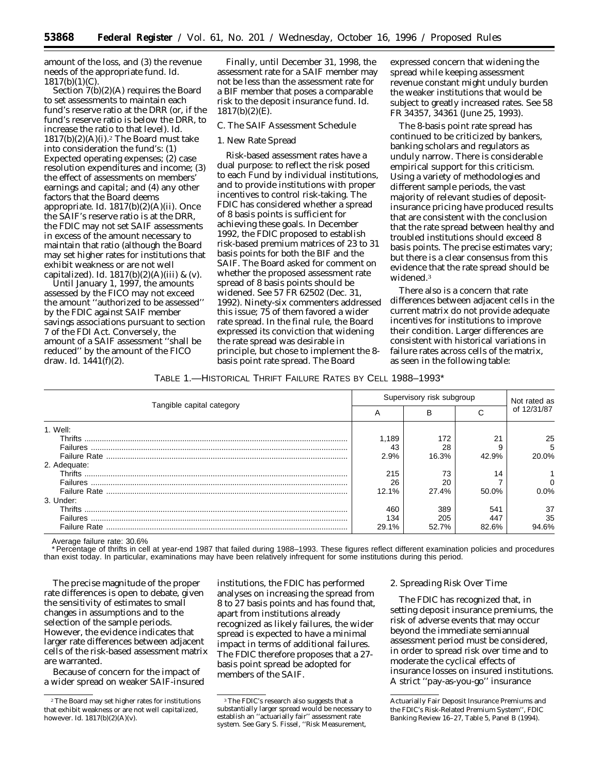amount of the loss, and (3) the revenue needs of the appropriate fund. *Id.* 1817(b)(1)(C).

Section 7(b)(2)(A) requires the Board to set assessments to maintain each fund's reserve ratio at the DRR (or, if the fund's reserve ratio is below the DRR, to increase the ratio to that level). *Id.*  $1817(b)(2)(A)(i).<sup>2</sup>$  The Board must take into consideration the fund's: (1) Expected operating expenses; (2) case resolution expenditures and income; (3) the effect of assessments on members' earnings and capital; and (4) any other factors that the Board deems appropriate. *Id.* 1817(b)(2)(A)(ii). Once the SAIF's reserve ratio is at the DRR, the FDIC may not set SAIF assessments in excess of the amount necessary to maintain that ratio (although the Board may set higher rates for institutions that exhibit weakness or are not well capitalized). *Id.* 1817(b)(2)(A)(iii) & (v).

Until January 1, 1997, the amounts assessed by the FICO may not exceed the amount ''authorized to be assessed'' by the FDIC against SAIF member savings associations pursuant to section 7 of the FDI Act. Conversely, the amount of a SAIF assessment ''shall be reduced'' by the amount of the FICO draw. *Id.* 1441(f)(2).

Finally, until December 31, 1998, the assessment rate for a SAIF member may not be less than the assessment rate for a BIF member that poses a comparable risk to the deposit insurance fund. *Id.* 1817(b)(2)(E).

## *C. The SAIF Assessment Schedule*

#### 1. New Rate Spread

Risk-based assessment rates have a dual purpose: to reflect the risk posed to each Fund by individual institutions, and to provide institutions with proper incentives to control risk-taking. The FDIC has considered whether a spread of 8 basis points is sufficient for achieving these goals. In December 1992, the FDIC proposed to establish risk-based premium matrices of 23 to 31 basis points for both the BIF and the SAIF. The Board asked for comment on whether the proposed assessment rate spread of 8 basis points should be widened. *See* 57 *FR* 62502 (Dec. 31, 1992). Ninety-six commenters addressed this issue; 75 of them favored a wider rate spread. In the final rule, the Board expressed its conviction that widening the rate spread was desirable in principle, but chose to implement the 8 basis point rate spread. The Board

expressed concern that widening the spread while keeping assessment revenue constant might unduly burden the weaker institutions that would be subject to greatly increased rates. *See* 58 FR 34357, 34361 (June 25, 1993).

The 8-basis point rate spread has continued to be criticized by bankers, banking scholars and regulators as unduly narrow. There is considerable empirical support for this criticism. Using a variety of methodologies and different sample periods, the vast majority of relevant studies of depositinsurance pricing have produced results that are consistent with the conclusion that the rate spread between healthy and troubled institutions should exceed 8 basis points. The precise estimates vary; but there is a clear consensus from this evidence that the rate spread should be widened.3

There also is a concern that rate differences between adjacent cells in the current matrix do not provide adequate incentives for institutions to improve their condition. Larger differences are consistent with historical variations in failure rates across cells of the matrix, as seen in the following table:

### TABLE 1.—HISTORICAL THRIFT FAILURE RATES BY CELL 1988–1993\*

| Tangible capital category |       | Supervisory risk subgroup |       |                             |
|---------------------------|-------|---------------------------|-------|-----------------------------|
|                           |       | в                         |       | Not rated as<br>of 12/31/87 |
| 1. Well:                  |       |                           |       |                             |
|                           | 1,189 | 172                       | 21    | 25                          |
|                           | 43    | 28                        |       | 5                           |
|                           | 2.9%  | 16.3%                     | 42.9% | 20.0%                       |
| 2. Adequate:              |       |                           |       |                             |
|                           | 215   | 73                        | 14    |                             |
|                           | 26    | 20                        |       |                             |
|                           | 12.1% | 27.4%                     | 50.0% | 0.0%                        |
| 3. Under:                 |       |                           |       |                             |
|                           | 460   | 389                       | 541   | 37                          |
|                           | 134   | 205                       | 447   | 35                          |
|                           | 29.1% | 52.7%                     | 82.6% | 14.6%                       |

Average failure rate: 30.6%

\*Percentage of thrifts in cell at year-end 1987 that failed during 1988–1993. These figures reflect different examination policies and procedures than exist today. In particular, examinations may have been relatively infrequent for some institutions during this period.

The precise magnitude of the proper rate differences is open to debate, given the sensitivity of estimates to small changes in assumptions and to the selection of the sample periods. However, the evidence indicates that larger rate differences between adjacent cells of the risk-based assessment matrix are warranted.

Because of concern for the impact of a wider spread on weaker SAIF-insured

institutions, the FDIC has performed analyses on increasing the spread from 8 to 27 basis points and has found that, apart from institutions already recognized as likely failures, the wider spread is expected to have a minimal impact in terms of additional failures. The FDIC therefore proposes that a 27 basis point spread be adopted for members of the SAIF.

### 2. Spreading Risk Over Time

The FDIC has recognized that, in setting deposit insurance premiums, the risk of adverse events that may occur beyond the immediate semiannual assessment period must be considered, in order to spread risk over time and to moderate the cyclical effects of insurance losses on insured institutions. A strict ''pay-as-you-go'' insurance

<sup>2</sup>The Board may set higher rates for institutions that exhibit weakness or are not well capitalized, however. *Id.* 1817(b)(2)(A)(v).

<sup>&</sup>lt;sup>3</sup>The FDIC's research also suggests that a substantially larger spread would be necessary to establish an ''actuarially fair'' assessment rate system. *See* Gary S. Fissel, ''Risk Measurement,

Actuarially Fair Deposit Insurance Premiums and the FDIC's Risk-Related Premium System'', *FDIC Banking Review* 16–27, Table 5, Panel B (1994).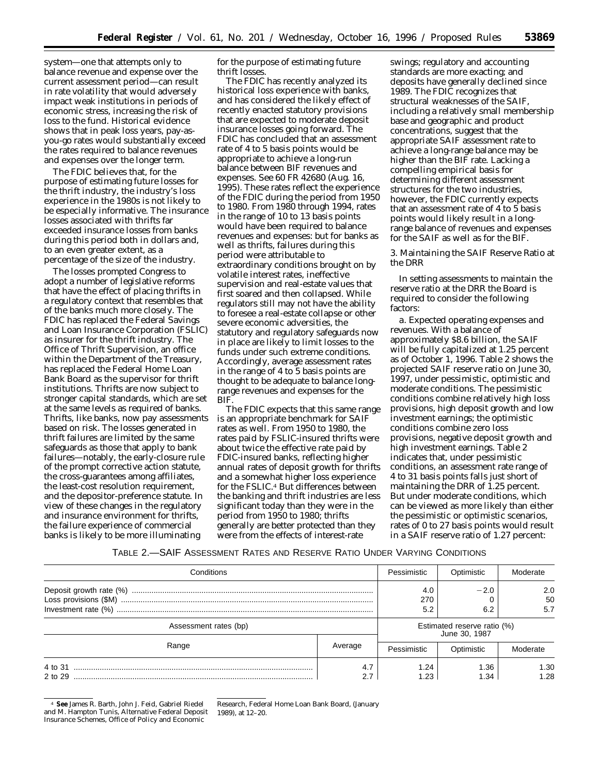system—one that attempts only to balance revenue and expense over the current assessment period—can result in rate volatility that would adversely impact weak institutions in periods of economic stress, increasing the risk of loss to the fund. Historical evidence shows that in peak loss years, pay-asyou-go rates would substantially exceed the rates required to balance revenues and expenses over the longer term.

The FDIC believes that, for the purpose of estimating future losses for the thrift industry, the industry's loss experience in the 1980s is not likely to be especially informative. The insurance losses associated with thrifts far exceeded insurance losses from banks during this period both in dollars and, to an even greater extent, as a percentage of the size of the industry.

The losses prompted Congress to adopt a number of legislative reforms that have the effect of placing thrifts in a regulatory context that resembles that of the banks much more closely. The FDIC has replaced the Federal Savings and Loan Insurance Corporation (FSLIC) as insurer for the thrift industry. The Office of Thrift Supervision, an office within the Department of the Treasury, has replaced the Federal Home Loan Bank Board as the supervisor for thrift institutions. Thrifts are now subject to stronger capital standards, which are set at the same levels as required of banks. Thrifts, like banks, now pay assessments based on risk. The losses generated in thrift failures are limited by the same safeguards as those that apply to bank failures—notably, the early-closure rule of the prompt corrective action statute, the cross-guarantees among affiliates, the least-cost resolution requirement, and the depositor-preference statute. In view of these changes in the regulatory and insurance environment for thrifts, the failure experience of commercial banks is likely to be more illuminating

for the purpose of estimating future thrift losses.

The FDIC has recently analyzed its historical loss experience with banks, and has considered the likely effect of recently enacted statutory provisions that are expected to moderate deposit insurance losses going forward. The FDIC has concluded that an assessment rate of 4 to 5 basis points would be appropriate to achieve a long-run balance between BIF revenues and expenses. See 60 *FR* 42680 (Aug. 16, 1995). These rates reflect the experience of the FDIC during the period from 1950 to 1980. From 1980 through 1994, rates in the range of 10 to 13 basis points would have been required to balance revenues and expenses: but for banks as well as thrifts, failures during this period were attributable to extraordinary conditions brought on by volatile interest rates, ineffective supervision and real-estate values that first soared and then collapsed. While regulators still may not have the ability to foresee a real-estate collapse or other severe economic adversities, the statutory and regulatory safeguards now in place are likely to limit losses to the funds under such extreme conditions. Accordingly, average assessment rates in the range of 4 to 5 basis points are thought to be adequate to balance longrange revenues and expenses for the BIF.

The FDIC expects that this same range is an appropriate benchmark for SAIF rates as well. From 1950 to 1980, the rates paid by FSLIC-insured thrifts were about twice the effective rate paid by FDIC-insured banks, reflecting higher annual rates of deposit growth for thrifts and a somewhat higher loss experience for the FSLIC.4 But differences between the banking and thrift industries are less significant today than they were in the period from 1950 to 1980; thrifts generally are better protected than they were from the effects of interest-rate

swings; regulatory and accounting standards are more exacting; and deposits have generally declined since 1989. The FDIC recognizes that structural weaknesses of the SAIF, including a relatively small membership base and geographic and product concentrations, suggest that the appropriate SAIF assessment rate to achieve a long-range balance may be higher than the BIF rate. Lacking a compelling empirical basis for determining different assessment structures for the two industries, however, the FDIC currently expects that an assessment rate of 4 to 5 basis points would likely result in a longrange balance of revenues and expenses for the SAIF as well as for the BIF.

3. Maintaining the SAIF Reserve Ratio at the DRR

In setting assessments to maintain the reserve ratio at the DRR the Board is required to consider the following factors:

*a. Expected operating expenses and revenues.* With a balance of approximately \$8.6 billion, the SAIF will be fully capitalized at 1.25 percent as of October 1, 1996. Table 2 shows the projected SAIF reserve ratio on June 30, 1997, under pessimistic, optimistic and moderate conditions. The pessimistic conditions combine relatively high loss provisions, high deposit growth and low investment earnings; the optimistic conditions combine zero loss provisions, negative deposit growth and high investment earnings. Table 2 indicates that, under pessimistic conditions, an assessment rate range of 4 to 31 basis points falls just short of maintaining the DRR of 1.25 percent. But under moderate conditions, which can be viewed as more likely than either the pessimistic or optimistic scenarios, rates of 0 to 27 basis points would result in a SAIF reserve ratio of 1.27 percent:

## TABLE 2.—SAIF ASSESSMENT RATES AND RESERVE RATIO UNDER VARYING CONDITIONS

| Conditions            |                        | Pessimistic                                  | Optimistic    | Moderate         |
|-----------------------|------------------------|----------------------------------------------|---------------|------------------|
|                       |                        | 4.0<br>270<br>5.2                            | $-2.0$<br>6.2 | 2.0<br>50<br>5.7 |
| Assessment rates (bp) |                        | Estimated reserve ratio (%)<br>June 30, 1987 |               |                  |
| Range                 | Average<br>Pessimistic |                                              | Optimistic    | Moderate         |
| 2 to 29               | 4.7                    | 1.24<br>1.23                                 | 1.36<br>1.34  | 1.30<br>1.28     |

4 **See** James R. Barth, John J. Feid, Gabriel Riedel and M. Hampton Tunis, *Alternative Federal Deposit Insurance Schemes,* Office of Policy and Economic

Research, Federal Home Loan Bank Board, (January 1989), at 12–20.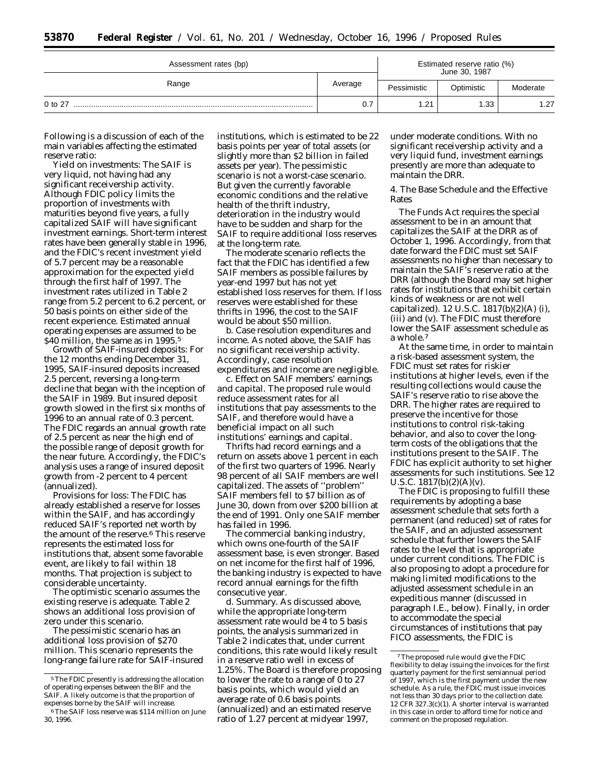| Assessment rates (bp) |         | Estimated reserve ratio (%)<br>June 30, 1987 |      |          |
|-----------------------|---------|----------------------------------------------|------|----------|
| Range                 | Average | Pessimistic<br>Optimistic                    |      | Moderate |
| $0$ to $27$           | 0.7     | 1.21                                         | 1.33 | 1.27     |

Following is a discussion of each of the main variables affecting the estimated reserve ratio:

*Yield on investments:* The SAIF is very liquid, not having had any significant receivership activity. Although FDIC policy limits the proportion of investments with maturities beyond five years, a fully capitalized SAIF will have significant investment earnings. Short-term interest rates have been generally stable in 1996, and the FDIC's recent investment yield of 5.7 percent may be a reasonable approximation for the expected yield through the first half of 1997. The investment rates utilized in Table 2 range from 5.2 percent to 6.2 percent, or 50 basis points on either side of the recent experience. Estimated annual operating expenses are assumed to be \$40 million, the same as in 1995.<sup>5</sup>

*Growth of SAIF-insured deposits:* For the 12 months ending December 31, 1995, SAIF-insured deposits increased 2.5 percent, reversing a long-term decline that began with the inception of the SAIF in 1989. But insured deposit growth slowed in the first six months of 1996 to an annual rate of 0.3 percent. The FDIC regards an annual growth rate of 2.5 percent as near the high end of the possible range of deposit growth for the near future. Accordingly, the FDIC's analysis uses a range of insured deposit growth from -2 percent to 4 percent (annualized).

*Provisions for loss:* The FDIC has already established a reserve for losses within the SAIF, and has accordingly reduced SAIF's reported net worth by the amount of the reserve.6 This reserve represents the estimated loss for institutions that, absent some favorable event, are likely to fail within 18 months. That projection is subject to considerable uncertainty.

The optimistic scenario assumes the existing reserve is adequate. Table 2 shows an additional loss provision of zero under this scenario.

The pessimistic scenario has an additional loss provision of \$270 million. This scenario represents the long-range failure rate for SAIF-insured institutions, which is estimated to be 22 basis points per year of total assets (or slightly more than \$2 billion in failed assets per year). The pessimistic scenario is not a worst-case scenario. But given the currently favorable economic conditions and the relative health of the thrift industry, deterioration in the industry would have to be sudden and sharp for the SAIF to require additional loss reserves at the long-term rate.

The moderate scenario reflects the fact that the FDIC has identified a few SAIF members as possible failures by year-end 1997 but has not yet established loss reserves for them. If loss reserves were established for these thrifts in 1996, the cost to the SAIF would be about \$50 million.

*b. Case resolution expenditures and income.* As noted above, the SAIF has no significant receivership activity. Accordingly, case resolution expenditures and income are negligible.

*c. Effect on SAIF members' earnings and capital.* The proposed rule would reduce assessment rates for all institutions that pay assessments to the SAIF, and therefore would have a beneficial impact on all such institutions' earnings and capital.

Thrifts had record earnings and a return on assets above 1 percent in each of the first two quarters of 1996. Nearly 98 percent of all SAIF members are well capitalized. The assets of ''problem'' SAIF members fell to \$7 billion as of June 30, down from over \$200 billion at the end of 1991. Only one SAIF member has failed in 1996.

The commercial banking industry, which owns one-fourth of the SAIF assessment base, is even stronger. Based on net income for the first half of 1996, the banking industry is expected to have record annual earnings for the fifth consecutive year.

*d. Summary.* As discussed above, while the appropriate long-term assessment rate would be 4 to 5 basis points, the analysis summarized in Table 2 indicates that, under current conditions, this rate would likely result in a reserve ratio well in excess of 1.25%. The Board is therefore proposing to lower the rate to a range of 0 to 27 basis points, which would yield an average rate of 0.6 basis points (annualized) and an estimated reserve ratio of 1.27 percent at midyear 1997,

under moderate conditions. With no significant receivership activity and a very liquid fund, investment earnings presently are more than adequate to maintain the DRR.

4. The Base Schedule and the Effective Rates

The Funds Act requires the special assessment to be in an amount that capitalizes the SAIF at the DRR as of October 1, 1996. Accordingly, from that date forward the FDIC must set SAIF assessments no higher than necessary to maintain the SAIF's reserve ratio at the DRR (although the Board may set higher rates for institutions that exhibit certain kinds of weakness or are not well capitalized). 12 U.S.C. 1817(b)(2)(A) (i), (iii) and (v). The FDIC must therefore lower the SAIF assessment schedule as a whole.7

At the same time, in order to maintain a risk-based assessment system, the FDIC must set rates for riskier institutions at higher levels, even if the resulting collections would cause the SAIF's reserve ratio to rise above the DRR. The higher rates are required to preserve the incentive for those institutions to control risk-taking behavior, and also to cover the longterm costs of the obligations that the institutions present to the SAIF. The FDIC has explicit authority to set higher assessments for such institutions. *See* 12 U.S.C.  $1817(b)(2)(A)(v)$ .

The FDIC is proposing to fulfill these requirements by adopting a base assessment schedule that sets forth a permanent (and reduced) set of rates for the SAIF, and an adjusted assessment schedule that further lowers the SAIF rates to the level that is appropriate under current conditions. The FDIC is also proposing to adopt a procedure for making limited modifications to the adjusted assessment schedule in an expeditious manner (discussed in paragraph I.E., below). Finally, in order to accommodate the special circumstances of institutions that pay FICO assessments, the FDIC is

<sup>5</sup>The FDIC presently is addressing the allocation of operating expenses between the BIF and the SAIF. A likely outcome is that the proportion of expenses borne by the SAIF will increase.

<sup>6</sup>The SAIF loss reserve was \$114 million on June 30, 1996.

<sup>7</sup>The proposed rule would give the FDIC flexibility to delay issuing the invoices for the first quarterly payment for the first semiannual period of 1997, which is the first payment under the new schedule. As a rule, the FDIC must issue invoices not less than 30 days prior to the collection date. 12 CFR 327.3(c)(1). A shorter interval is warranted in this case in order to afford time for notice and comment on the proposed regulation.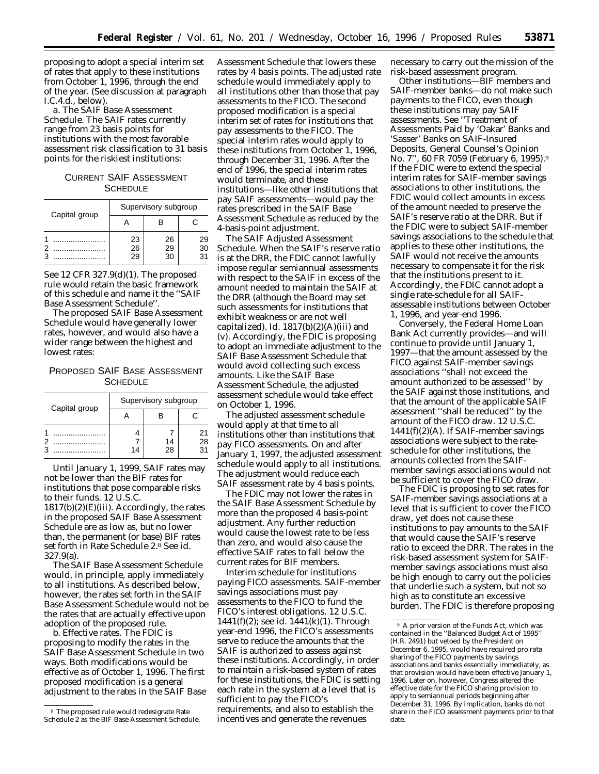proposing to adopt a special interim set of rates that apply to these institutions from October 1, 1996, through the end of the year. (See discussion at paragraph I.C.4.d., below).

*a. The SAIF Base Assessment Schedule.* The SAIF rates currently range from 23 basis points for institutions with the most favorable assessment risk classification to 31 basis points for the riskiest institutions:

CURRENT SAIF ASSESSMENT SCHEDULE

| Capital group | Supervisory subgroup |                |                |
|---------------|----------------------|----------------|----------------|
|               |                      |                | С              |
|               | 23<br>26<br>29       | 26<br>29<br>30 | 29<br>30<br>31 |

*See* 12 CFR 327.9(d)(1). The proposed rule would retain the basic framework of this schedule and name it the ''SAIF Base Assessment Schedule''.

The proposed SAIF Base Assessment Schedule would have generally lower rates, however, and would also have a wider range between the highest and lowest rates:

PROPOSED SAIF BASE ASSESSMENT **SCHEDULE** 

| Capital group | Supervisory subgroup |          |          |
|---------------|----------------------|----------|----------|
|               |                      |          |          |
|               | 14                   | 14<br>28 | 21<br>28 |

Until January 1, 1999, SAIF rates may not be lower than the BIF rates for institutions that pose comparable risks to their funds. 12 U.S.C.  $1817(b)(2)(E)(iii)$ . Accordingly, the rates in the proposed SAIF Base Assessment Schedule are as low as, but no lower than, the permanent (or base) BIF rates set forth in Rate Schedule 2.8 *See id.* 327.9(a).

The SAIF Base Assessment Schedule would, in principle, apply immediately to all institutions. As described below, however, the rates set forth in the SAIF Base Assessment Schedule would not be the rates that are actually effective upon adoption of the proposed rule.

*b. Effective rates.* The FDIC is proposing to modify the rates in the SAIF Base Assessment Schedule in two ways. Both modifications would be effective as of October 1, 1996. The first proposed modification is a general adjustment to the rates in the SAIF Base

Assessment Schedule that lowers these rates by 4 basis points. The adjusted rate schedule would immediately apply to all institutions other than those that pay assessments to the FICO. The second proposed modification is a special interim set of rates for institutions that pay assessments to the FICO. The special interim rates would apply to these institutions from October 1, 1996, through December 31, 1996. After the end of 1996, the special interim rates would terminate, and these institutions—like other institutions that pay SAIF assessments—would pay the rates prescribed in the SAIF Base Assessment Schedule as reduced by the 4-basis-point adjustment.

*The SAIF Adjusted Assessment Schedule.* When the SAIF's reserve ratio is at the DRR, the FDIC cannot lawfully impose regular semiannual assessments with respect to the SAIF in excess of the amount needed to maintain the SAIF at the DRR (although the Board may set such assessments for institutions that exhibit weakness or are not well capitalized). *Id.* 1817(b)(2)(A)(iii) and (v). Accordingly, the FDIC is proposing to adopt an immediate adjustment to the SAIF Base Assessment Schedule that would avoid collecting such excess amounts. Like the SAIF Base Assessment Schedule, the adjusted assessment schedule would take effect on October 1, 1996.

The adjusted assessment schedule would apply at that time to all institutions other than institutions that pay FICO assessments. On and after January 1, 1997, the adjusted assessment schedule would apply to all institutions. The adjustment would reduce each SAIF assessment rate by 4 basis points.

The FDIC may not lower the rates in the SAIF Base Assessment Schedule by more than the proposed 4 basis-point adjustment. Any further reduction would cause the lowest rate to be less than zero, and would also cause the effective SAIF rates to fall below the current rates for BIF members.

*Interim schedule for institutions paying FICO assessments.* SAIF-member savings associations must pay assessments to the FICO to fund the FICO's interest obligations. 12 U.S.C. 1441(f)(2); *see id.* 1441(k)(1). Through year-end 1996, the FICO's assessments serve to reduce the amounts that the SAIF is authorized to assess against these institutions. Accordingly, in order to maintain a risk-based system of rates for these institutions, the FDIC is setting each rate in the system at a level that is sufficient to pay the FICO's requirements, and also to establish the incentives and generate the revenues

necessary to carry out the mission of the risk-based assessment program.

Other institutions—BIF members and SAIF-member banks—do not make such payments to the FICO, even though these institutions may pay SAIF assessments. *See* ''Treatment of Assessments Paid by 'Oakar' Banks and 'Sasser' Banks on SAIF-Insured Deposits, General Counsel's Opinion No. 7'', 60 *FR* 7059 (February 6, 1995).9 If the FDIC were to extend the special interim rates for SAIF-member savings associations to other institutions, the FDIC would collect amounts in excess of the amount needed to preserve the SAIF's reserve ratio at the DRR. But if the FDIC were to subject SAIF-member savings associations to the schedule that applies to these other institutions, the SAIF would not receive the amounts necessary to compensate it for the risk that the institutions present to it. Accordingly, the FDIC cannot adopt a single rate-schedule for all SAIFassessable institutions between October 1, 1996, and year-end 1996.

Conversely, the Federal Home Loan Bank Act currently provides—and will continue to provide until January 1, 1997—that the amount assessed by the FICO against SAIF-member savings associations ''shall not exceed the amount authorized to be assessed'' by the SAIF against those institutions, and that the amount of the applicable SAIF assessment ''shall be reduced'' by the amount of the FICO draw. 12 U.S.C. 1441(f)(2)(A). If SAIF-member savings associations were subject to the rateschedule for other institutions, the amounts collected from the SAIFmember savings associations would not be sufficient to cover the FICO draw.

The FDIC is proposing to set rates for SAIF-member savings associations at a level that is sufficient to cover the FICO draw, yet does not cause these institutions to pay amounts to the SAIF that would cause the SAIF's reserve ratio to exceed the DRR. The rates in the risk-based assessment system for SAIFmember savings associations must also be high enough to carry out the policies that underlie such a system, but not so high as to constitute an excessive burden. The FDIC is therefore proposing

<sup>8</sup> The proposed rule would redesignate Rate Schedule 2 as the BIF Base Assessment Schedule.

<sup>9</sup> A prior version of the Funds Act, which was contained in the ''Balanced Budget Act of 1995'' (H.R. 2491) but vetoed by the President on December 6, 1995, would have required *pro rata* sharing of the FICO payments by savings associations and banks essentially immediately, as that provision would have been effective January 1, 1996. Later on, however, Congress altered the effective date for the FICO sharing provision to apply to semiannual periods beginning after December 31, 1996. By implication, banks do not share in the FICO assessment payments prior to that date.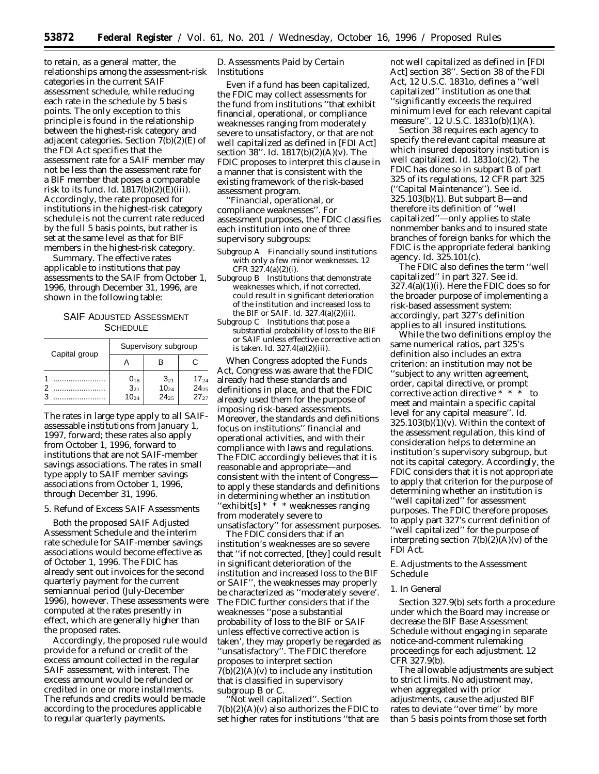to retain, as a general matter, the relationships among the assessment-risk categories in the current SAIF assessment schedule, while reducing each rate in the schedule by 5 basis points. The only exception to this principle is found in the relationship between the highest-risk category and adjacent categories. Section 7(b)(2)(E) of the FDI Act specifies that the assessment rate for a SAIF member may not be less than the assessment rate for a BIF member that poses a comparable risk to its fund. *Id.* 1817(b)(2)(E)(iii). Accordingly, the rate proposed for institutions in the highest-risk category schedule is not the current rate reduced by the full 5 basis points, but rather is set at the same level as that for BIF members in the highest-risk category.

*Summary.* The effective rates applicable to institutions that pay assessments to the SAIF from October 1, 1996, through December 31, 1996, are shown in the following table:

# SAIF ADJUSTED ASSESSMENT **SCHEDULE**

| Capital group | Supervisory subgroup                     |                                    |                                     |  |
|---------------|------------------------------------------|------------------------------------|-------------------------------------|--|
|               |                                          |                                    |                                     |  |
|               | $0_{18}$<br>3 <sub>21</sub><br>$10_{24}$ | $3_{21}$<br>$10_{24}$<br>$24_{25}$ | $17_{24}$<br>$24_{25}$<br>$27_{27}$ |  |

The rates in large type apply to all SAIFassessable institutions from January 1, 1997, forward; these rates also apply from October 1, 1996, forward to institutions that are not SAIF-member savings associations. The rates in small type apply to SAIF member savings associations from October 1, 1996, through December 31, 1996.

## 5. Refund of Excess SAIF Assessments

Both the proposed SAIF Adjusted Assessment Schedule and the interim rate schedule for SAIF-member savings associations would become effective as of October 1, 1996. The FDIC has already sent out invoices for the second quarterly payment for the current semiannual period (July-December 1996), however. These assessments were computed at the rates presently in effect, which are generally higher than the proposed rates.

Accordingly, the proposed rule would provide for a refund or credit of the excess amount collected in the regular SAIF assessment, with interest. The excess amount would be refunded or credited in one or more installments. The refunds and credits would be made according to the procedures applicable to regular quarterly payments.

## *D. Assessments Paid by Certain Institutions*

Even if a fund has been capitalized, the FDIC may collect assessments for the fund from institutions ''that exhibit financial, operational, or compliance weaknesses ranging from moderately severe to unsatisfactory, or that are not well capitalized as defined in [FDI Act] section 38''. *Id.* 1817(b)(2)(A)(v). The FDIC proposes to interpret this clause in a manner that is consistent with the existing framework of the risk-based assessment program.

*''Financial, operational, or compliance weaknesses''.* For assessment purposes, the FDIC classifies each institution into one of three supervisory subgroups:

- Subgroup A Financially sound institutions with only a few minor weaknesses. 12 CFR 327.4(a)(2)(i).
- Subgroup B Institutions that demonstrate weaknesses which, if not corrected, could result in significant deterioration of the institution and increased loss to the BIF or SAIF. *Id.* 327.4(a)(2)(ii).
- Subgroup C Institutions that pose a substantial probability of loss to the BIF or SAIF unless effective corrective action is taken. *Id.* 327.4(a)(2)(iii).

When Congress adopted the Funds Act, Congress was aware that the FDIC already had these standards and definitions in place, and that the FDIC already used them for the purpose of imposing risk-based assessments. Moreover, the standards and definitions focus on institutions'' financial and operational activities, and with their compliance with laws and regulations. The FDIC accordingly believes that it is reasonable and appropriate—and consistent with the intent of Congress to apply these standards and definitions in determining whether an institution "exhibit[s]  $* \overline{*} *$  weaknesses ranging from moderately severe to unsatisfactory'' for assessment purposes.

The FDIC considers that if an institution's weaknesses are so severe that ''if not corrected, [they] could result in significant deterioration of the institution and increased loss to the BIF or SAIF'', the weaknesses may properly be characterized as ''moderately severe'. The FDIC further considers that if the weaknesses ''pose a substantial probability of loss to the BIF or SAIF unless effective corrective action is taken', they may properly be regarded as ''unsatisfactory''. The FDIC therefore proposes to interpret section  $7(b)(2)(A)(v)$  to include any institution that is classified in supervisory subgroup B or C.

*''Not well capitalized''.* Section  $7(b)(2)(A)(v)$  also authorizes the FDIC to set higher rates for institutions ''that are not well capitalized as defined in [FDI Act] section 38''. Section 38 of the FDI Act, 12 U.S.C. 1831o, defines a ''well capitalized'' institution as one that ''significantly exceeds the required minimum level for each relevant capital measure''. 12 U.S.C. 1831o(b)(1)(A).

Section 38 requires each agency to specify the relevant capital measure at which insured depository institution is well capitalized. *Id.* 1831o(c)(2). The FDIC has done so in subpart B of part 325 of its regulations, 12 CFR part 325 (''Capital Maintenance''). *See id.* 325.103(b)(1). But subpart B—and therefore its definition of ''well capitalized''—only applies to state nonmember banks and to insured state branches of foreign banks for which the FDIC is the appropriate federal banking agency. *Id.* 325.101(c).

The FDIC also defines the term ''well capitalized'' in part 327. *See id.*  $327.4(a)(1)(i)$ . Here the FDIC does so for the broader purpose of implementing a risk-based assessment system: accordingly, part 327's definition applies to all insured institutions.

While the two definitions employ the same numerical ratios, part 325's definition also includes an extra criterion: an institution may not be ''subject to any written agreement, order, capital directive, or prompt corrective action directive \* \* \* to meet and maintain a specific capital level for any capital measure''. *Id.*  $325.103(b)(1)(v)$ . Within the context of the assessment regulation, this kind of consideration helps to determine an institution's supervisory subgroup, but not its capital category. Accordingly, the FDIC considers that it is not appropriate to apply that criterion for the purpose of determining whether an institution is ''well capitalized'' for assessment purposes. The FDIC therefore proposes to apply part 327's current definition of ''well capitalized'' for the purpose of interpreting section  $7(b)(2)(A)(v)$  of the FDI Act.

## *E. Adjustments to the Assessment Schedule*

### 1. In General

Section 327.9(b) sets forth a procedure under which the Board may increase or decrease the BIF Base Assessment Schedule without engaging in separate notice-and-comment rulemaking proceedings for each adjustment. 12 CFR 327.9(b).

The allowable adjustments are subject to strict limits. No adjustment may, when aggregated with prior adjustments, cause the adjusted BIF rates to deviate ''over time'' by more than 5 basis points from those set forth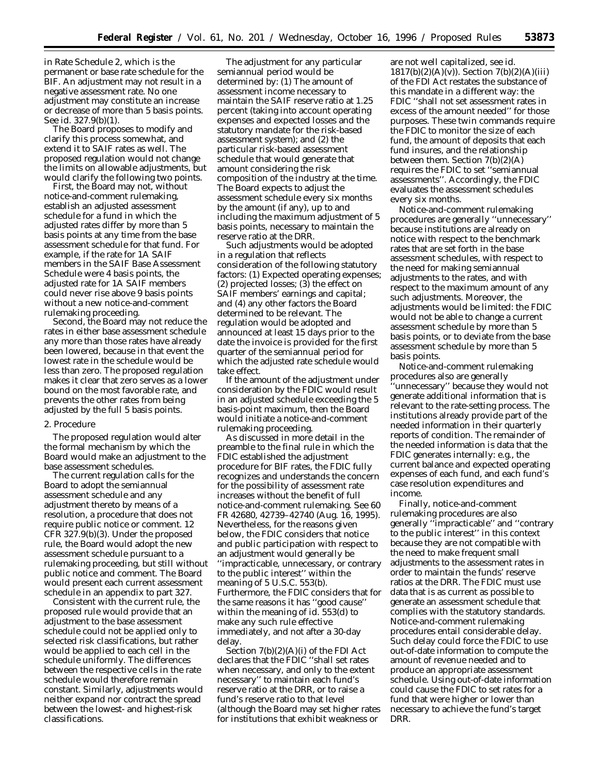in Rate Schedule 2, which is the permanent or base rate schedule for the BIF. An adjustment may not result in a negative assessment rate. No one adjustment may constitute an increase or decrease of more than 5 basis points. *See id.* 327.9(b)(1).

The Board proposes to modify and clarify this process somewhat, and extend it to SAIF rates as well. The proposed regulation would not change the limits on allowable adjustments, but would clarify the following two points.

First, the Board may not, without notice-and-comment rulemaking, establish an adjusted assessment schedule for a fund in which the adjusted rates differ by more than 5 basis points at any time from the base assessment schedule for that fund. For example, if the rate for 1A SAIF members in the SAIF Base Assessment Schedule were 4 basis points, the adjusted rate for 1A SAIF members could never rise above 9 basis points without a new notice-and-comment rulemaking proceeding.

Second, the Board may not reduce the rates in either base assessment schedule any more than those rates have already been lowered, because in that event the lowest rate in the schedule would be less than zero. The proposed regulation makes it clear that zero serves as a lower bound on the most favorable rate, and prevents the other rates from being adjusted by the full 5 basis points.

#### 2. Procedure

The proposed regulation would alter the formal mechanism by which the Board would make an adjustment to the base assessment schedules.

The current regulation calls for the Board to adopt the semiannual assessment schedule and any adjustment thereto by means of a resolution, a procedure that does not require public notice or comment. 12 CFR 327.9(b)(3). Under the proposed rule, the Board would adopt the new assessment schedule pursuant to a rulemaking proceeding, but still without public notice and comment. The Board would present each current assessment schedule in an appendix to part 327.

Consistent with the current rule, the proposed rule would provide that an adjustment to the base assessment schedule could not be applied only to selected risk classifications, but rather would be applied to each cell in the schedule uniformly. The differences between the respective cells in the rate schedule would therefore remain constant. Similarly, adjustments would neither expand nor contract the spread between the lowest- and highest-risk classifications.

The adjustment for any particular semiannual period would be determined by: (1) The amount of assessment income necessary to maintain the SAIF reserve ratio at 1.25 percent (taking into account operating expenses and expected losses and the statutory mandate for the risk-based assessment system); and (2) the particular risk-based assessment schedule that would generate that amount considering the risk composition of the industry at the time. The Board expects to adjust the assessment schedule every six months by the amount (if any), up to and including the maximum adjustment of 5 basis points, necessary to maintain the reserve ratio at the DRR.

Such adjustments would be adopted in a regulation that reflects consideration of the following statutory factors: (1) Expected operating expenses; (2) projected losses; (3) the effect on SAIF members' earnings and capital; and (4) any other factors the Board determined to be relevant. The regulation would be adopted and announced at least 15 days prior to the date the invoice is provided for the first quarter of the semiannual period for which the adjusted rate schedule would take effect.

If the amount of the adjustment under consideration by the FDIC would result in an adjusted schedule exceeding the 5 basis-point maximum, then the Board would initiate a notice-and-comment rulemaking proceeding.

As discussed in more detail in the preamble to the final rule in which the FDIC established the adjustment procedure for BIF rates, the FDIC fully recognizes and understands the concern for the possibility of assessment rate increases without the benefit of full notice-and-comment rulemaking. *See* 60 *FR* 42680, 42739–42740 (Aug. 16, 1995). Nevertheless, for the reasons given below, the FDIC considers that notice and public participation with respect to an adjustment would generally be ''impracticable, unnecessary, or contrary to the public interest'' within the meaning of 5 U.S.C. 553(b). Furthermore, the FDIC considers that for the same reasons it has ''good cause'' within the meaning of *id.* 553(d) to make any such rule effective immediately, and not after a 30-day delay.

Section 7(b)(2)(A)(i) of the FDI Act declares that the FDIC ''shall set rates when necessary, and only to the extent necessary'' to maintain each fund's reserve ratio at the DRR, or to raise a fund's reserve ratio to that level (although the Board may set higher rates for institutions that exhibit weakness or

are not well capitalized, *see id.* 1817(b)(2)(A)(v)). Section 7(b)(2)(A)(iii) of the FDI Act restates the substance of this mandate in a different way: the FDIC ''shall not set assessment rates in excess of the amount needed'' for those purposes. These twin commands require the FDIC to monitor the size of each fund, the amount of deposits that each fund insures, and the relationship between them. Section 7(b)(2)(A) requires the FDIC to set ''semiannual assessments''. Accordingly, the FDIC evaluates the assessment schedules every six months.

Notice-and-comment rulemaking procedures are generally ''unnecessary'' because institutions are already on notice with respect to the benchmark rates that are set forth in the base assessment schedules, with respect to the need for making semiannual adjustments to the rates, and with respect to the maximum amount of any such adjustments. Moreover, the adjustments would be limited: the FDIC would not be able to change a current assessment schedule by more than 5 basis points, or to deviate from the base assessment schedule by more than 5 basis points.

Notice-and-comment rulemaking procedures also are generally ''unnecessary'' because they would not generate additional information that is relevant to the rate-setting process. The institutions already provide part of the needed information in their quarterly reports of condition. The remainder of the needed information is data that the FDIC generates internally: *e.g.,* the current balance and expected operating expenses of each fund, and each fund's case resolution expenditures and income.

Finally, notice-and-comment rulemaking procedures are also generally ''impracticable'' and ''contrary to the public interest'' in this context because they are not compatible with the need to make frequent small adjustments to the assessment rates in order to maintain the funds' reserve ratios at the DRR. The FDIC must use data that is as current as possible to generate an assessment schedule that complies with the statutory standards. Notice-and-comment rulemaking procedures entail considerable delay. Such delay could force the FDIC to use out-of-date information to compute the amount of revenue needed and to produce an appropriate assessment schedule. Using out-of-date information could cause the FDIC to set rates for a fund that were higher or lower than necessary to achieve the fund's target DRR.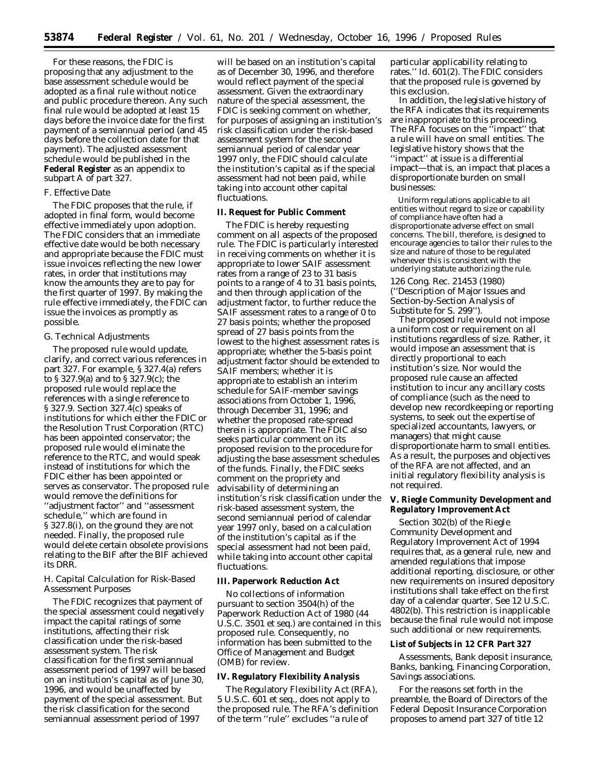For these reasons, the FDIC is proposing that any adjustment to the base assessment schedule would be adopted as a final rule without notice and public procedure thereon. Any such final rule would be adopted at least 15 days before the invoice date for the first payment of a semiannual period (and 45 days before the collection date for that payment). The adjusted assessment schedule would be published in the **Federal Register** as an appendix to subpart A of part 327.

## *F. Effective Date*

The FDIC proposes that the rule, if adopted in final form, would become effective immediately upon adoption. The FDIC considers that an immediate effective date would be both necessary and appropriate because the FDIC must issue invoices reflecting the new lower rates, in order that institutions may know the amounts they are to pay for the first quarter of 1997. By making the rule effective immediately, the FDIC can issue the invoices as promptly as possible.

### *G. Technical Adjustments*

The proposed rule would update, clarify, and correct various references in part 327. For example, § 327.4(a) refers to § 327.9(a) and to § 327.9(c); the proposed rule would replace the references with a single reference to § 327.9. Section 327.4(c) speaks of institutions for which either the FDIC or the Resolution Trust Corporation (RTC) has been appointed conservator; the proposed rule would eliminate the reference to the RTC, and would speak instead of institutions for which the FDIC either has been appointed or serves as conservator. The proposed rule would remove the definitions for ''adjustment factor'' and ''assessment schedule,'' which are found in § 327.8(i), on the ground they are not needed. Finally, the proposed rule would delete certain obsolete provisions relating to the BIF after the BIF achieved its DRR.

# *H. Capital Calculation for Risk-Based Assessment Purposes*

The FDIC recognizes that payment of the special assessment could negatively impact the capital ratings of some institutions, affecting their risk classification under the risk-based assessment system. The risk classification for the first semiannual assessment period of 1997 will be based on an institution's capital as of June 30, 1996, and would be unaffected by payment of the special assessment. But the risk classification for the second semiannual assessment period of 1997

will be based on an institution's capital as of December 30, 1996, and therefore would reflect payment of the special assessment. Given the extraordinary nature of the special assessment, the FDIC is seeking comment on whether, for purposes of assigning an institution's risk classification under the risk-based assessment system for the second semiannual period of calendar year 1997 only, the FDIC should calculate the institution's capital as if the special assessment had not been paid, while taking into account other capital fluctuations.

#### **II. Request for Public Comment**

The FDIC is hereby requesting comment on all aspects of the proposed rule. The FDIC is particularly interested in receiving comments on whether it is appropriate to lower SAIF assessment rates from a range of 23 to 31 basis points to a range of 4 to 31 basis points, and then through application of the adjustment factor, to further reduce the SAIF assessment rates to a range of 0 to 27 basis points; whether the proposed spread of 27 basis points from the lowest to the highest assessment rates is appropriate; whether the 5-basis point adjustment factor should be extended to SAIF members; whether it is appropriate to establish an interim schedule for SAIF-member savings associations from October 1, 1996, through December 31, 1996; and whether the proposed rate-spread therein is appropriate. The FDIC also seeks particular comment on its proposed revision to the procedure for adjusting the base assessment schedules of the funds. Finally, the FDIC seeks comment on the propriety and advisability of determining an institution's risk classification under the risk-based assessment system, the second semiannual period of calendar year 1997 only, based on a calculation of the institution's capital as if the special assessment had not been paid, while taking into account other capital fluctuations.

### **III. Paperwork Reduction Act**

No collections of information pursuant to section 3504(h) of the Paperwork Reduction Act of 1980 (44 U.S.C. 3501 *et seq*.) are contained in this proposed rule. Consequently, no information has been submitted to the Office of Management and Budget (OMB) for review.

### **IV. Regulatory Flexibility Analysis**

The Regulatory Flexibility Act (RFA), 5 U.S.C. 601 *et seq*., does not apply to the proposed rule. The RFA's definition of the term ''rule'' excludes ''a rule of

particular applicability relating to rates.'' *Id.* 601(2). The FDIC considers that the proposed rule is governed by this exclusion.

In addition, the legislative history of the RFA indicates that its requirements are inappropriate to this proceeding. The RFA focuses on the ''impact'' that a rule will have on small entities. The legislative history shows that the ''impact'' at issue is a differential impact—that is, an impact that places a disproportionate burden on small businesses:

Uniform regulations applicable to all entities without regard to size or capability of compliance have often had a disproportionate adverse effect on small concerns. The bill, therefore, is designed to encourage agencies to tailor their rules to the size and nature of those to be regulated whenever this is consistent with the underlying statute authorizing the rule.

126 Cong. Rec. 21453 (1980) (''Description of Major Issues and Section-by-Section Analysis of Substitute for S. 299'').

The proposed rule would not impose a uniform cost or requirement on all institutions regardless of size. Rather, it would impose an assessment that is directly proportional to each institution's size. Nor would the proposed rule cause an affected institution to incur any ancillary costs of compliance (such as the need to develop new recordkeeping or reporting systems, to seek out the expertise of specialized accountants, lawyers, or managers) that might cause disproportionate harm to small entities. As a result, the purposes and objectives of the RFA are not affected, and an initial regulatory flexibility analysis is not required.

**V. Riegle Community Development and Regulatory Improvement Act**

Section 302(b) of the Riegle Community Development and Regulatory Improvement Act of 1994 requires that, as a general rule, new and amended regulations that impose additional reporting, disclosure, or other new requirements on insured depository institutions shall take effect on the first day of a calendar quarter. *See* 12 U.S.C. 4802(b). This restriction is inapplicable because the final rule would not impose such additional or new requirements.

#### **List of Subjects in 12 CFR Part 327**

Assessments, Bank deposit insurance, Banks, banking, Financing Corporation, Savings associations.

For the reasons set forth in the preamble, the Board of Directors of the Federal Deposit Insurance Corporation proposes to amend part 327 of title 12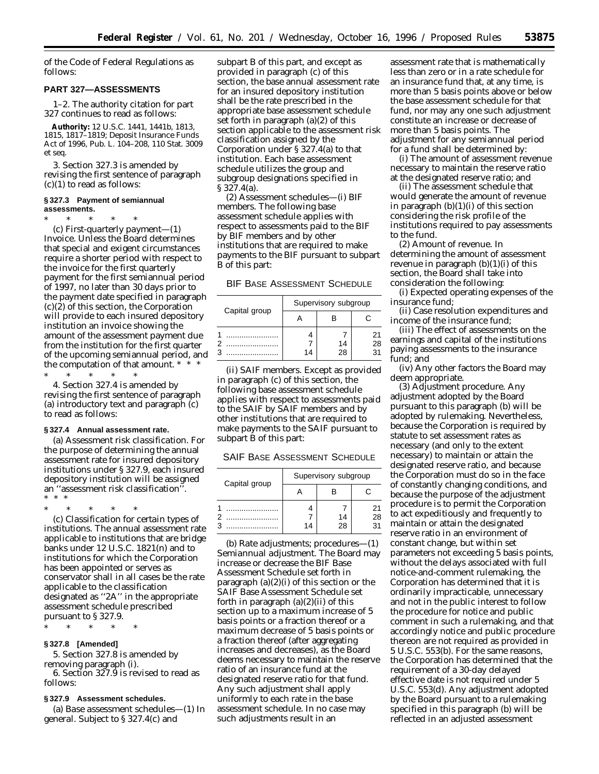of the Code of Federal Regulations as follows:

### **PART 327—ASSESSMENTS**

1–2. The authority citation for part 327 continues to read as follows:

**Authority:** 12 U.S.C. 1441, 1441b, 1813, 1815, 1817–1819; Deposit Insurance Funds Act of 1996, Pub. L. 104–208, 110 Stat. 3009 *et seq.*

3. Section 327.3 is amended by revising the first sentence of paragraph (c)(1) to read as follows:

#### **§ 327.3 Payment of semiannual assessments.**

\* \* \* \* \*

(c) *First-quarterly payment*—(1) *Invoice.* Unless the Board determines that special and exigent circumstances require a shorter period with respect to the invoice for the first quarterly payment for the first semiannual period of 1997, no later than 30 days prior to the payment date specified in paragraph (c)(2) of this section, the Corporation will provide to each insured depository institution an invoice showing the amount of the assessment payment due from the institution for the first quarter of the upcoming semiannual period, and the computation of that amount. \* \* \*

\* \* \* \* \* 4. Section 327.4 is amended by revising the first sentence of paragraph (a) introductory text and paragraph (c) to read as follows:

#### **§ 327.4 Annual assessment rate.**

(a) *Assessment risk classification.* For the purpose of determining the annual assessment rate for insured depository institutions under § 327.9, each insured depository institution will be assigned an ''assessment risk classification''. \* \* \*

\* \* \* \* \*

(c) *Classification for certain types of institutions.* The annual assessment rate applicable to institutions that are bridge banks under 12 U.S.C. 1821(n) and to institutions for which the Corporation has been appointed or serves as conservator shall in all cases be the rate applicable to the classification designated as ''2A'' in the appropriate assessment schedule prescribed pursuant to § 327.9.

\* \* \* \* \*

# **§ 327.8 [Amended]**

5. Section 327.8 is amended by removing paragraph (i).

6. Section 327.9 is revised to read as follows:

### **§ 327.9 Assessment schedules.**

(a) *Base assessment schedules*—(1) *In general.* Subject to § 327.4(c) and

subpart B of this part, and except as provided in paragraph (c) of this section, the base annual assessment rate for an insured depository institution shall be the rate prescribed in the appropriate base assessment schedule set forth in paragraph (a)(2) of this section applicable to the assessment risk classification assigned by the Corporation under § 327.4(a) to that institution. Each base assessment schedule utilizes the group and subgroup designations specified in § 327.4(a).

(2) *Assessment schedules*—(i) *BIF members.* The following base assessment schedule applies with respect to assessments paid to the BIF by BIF members and by other institutions that are required to make payments to the BIF pursuant to subpart B of this part:

BIF BASE ASSESSMENT SCHEDULE

| Capital group | Supervisory subgroup |          |          |
|---------------|----------------------|----------|----------|
|               |                      |          |          |
|               | 14                   | 14<br>28 | 21<br>28 |

(ii) *SAIF members.* Except as provided in paragraph (c) of this section, the following base assessment schedule applies with respect to assessments paid to the SAIF by SAIF members and by other institutions that are required to make payments to the SAIF pursuant to subpart B of this part:

SAIF BASE ASSESSMENT SCHEDULE

|               | Supervisory subgroup |          |                |  |
|---------------|----------------------|----------|----------------|--|
| Capital group |                      |          |                |  |
|               | 14                   | 14<br>28 | 21<br>28<br>31 |  |
|               |                      |          |                |  |

(b) *Rate adjustments; procedures*—(1) *Semiannual adjustment.* The Board may increase or decrease the BIF Base Assessment Schedule set forth in paragraph (a)(2)(i) of this section or the SAIF Base Assessment Schedule set forth in paragraph (a)(2)(ii) of this section up to a maximum increase of 5 basis points or a fraction thereof or a maximum decrease of 5 basis points or a fraction thereof (after aggregating increases and decreases), as the Board deems necessary to maintain the reserve ratio of an insurance fund at the designated reserve ratio for that fund. Any such adjustment shall apply uniformly to each rate in the base assessment schedule. In no case may such adjustments result in an

assessment rate that is mathematically less than zero or in a rate schedule for an insurance fund that, at any time, is more than 5 basis points above or below the base assessment schedule for that fund, nor may any one such adjustment constitute an increase or decrease of more than 5 basis points. The adjustment for any semiannual period for a fund shall be determined by:

(i) The amount of assessment revenue necessary to maintain the reserve ratio at the designated reserve ratio; and

(ii) The assessment schedule that would generate the amount of revenue in paragraph  $(b)(1)(i)$  of this section considering the risk profile of the institutions required to pay assessments to the fund.

(2) *Amount of revenue.* In determining the amount of assessment revenue in paragraph  $(b)(1)(i)$  of this section, the Board shall take into consideration the following:

(i) Expected operating expenses of the insurance fund;

(ii) Case resolution expenditures and income of the insurance fund;

(iii) The effect of assessments on the earnings and capital of the institutions paying assessments to the insurance fund; and

(iv) Any other factors the Board may deem appropriate.

(3) *Adjustment procedure.* Any adjustment adopted by the Board pursuant to this paragraph (b) will be adopted by rulemaking. Nevertheless, because the Corporation is required by statute to set assessment rates as necessary (and only to the extent necessary) to maintain or attain the designated reserve ratio, and because the Corporation must do so in the face of constantly changing conditions, and because the purpose of the adjustment procedure is to permit the Corporation to act expeditiously and frequently to maintain or attain the designated reserve ratio in an environment of constant change, but within set parameters not exceeding 5 basis points, without the delays associated with full notice-and-comment rulemaking, the Corporation has determined that it is ordinarily impracticable, unnecessary and not in the public interest to follow the procedure for notice and public comment in such a rulemaking, and that accordingly notice and public procedure thereon are not required as provided in 5 U.S.C. 553(b). For the same reasons, the Corporation has determined that the requirement of a 30-day delayed effective date is not required under 5 U.S.C. 553(d). Any adjustment adopted by the Board pursuant to a rulemaking specified in this paragraph (b) will be reflected in an adjusted assessment